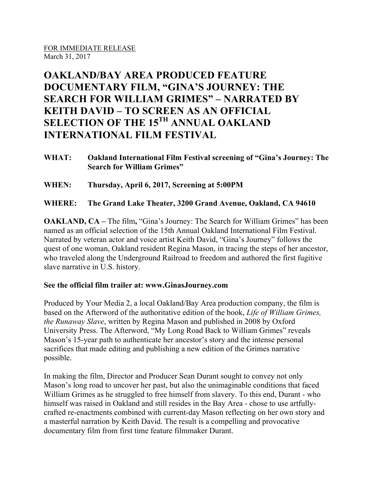## **OAKLAND/BAY AREA PRODUCED FEATURE DOCUMENTARY FILM, "GINA'S JOURNEY: THE SEARCH FOR WILLIAM GRIMES" – NARRATED BY KEITH DAVID – TO SCREEN AS AN OFFICIAL SELECTION OF THE 15TH ANNUAL OAKLAND INTERNATIONAL FILM FESTIVAL**

**WHAT: Oakland International Film Festival screening of "Gina's Journey: The Search for William Grimes"**

**WHEN: Thursday, April 6, 2017, Screening at 5:00PM**

**WHERE: The Grand Lake Theater, 3200 Grand Avenue, Oakland, CA 94610**

**OAKLAND, CA** – The film, "Gina's Journey: The Search for William Grimes" has been named as an official selection of the 15th Annual Oakland International Film Festival. Narrated by veteran actor and voice artist Keith David, "Gina's Journey" follows the quest of one woman, Oakland resident Regina Mason, in tracing the steps of her ancestor, who traveled along the Underground Railroad to freedom and authored the first fugitive slave narrative in U.S. history.

## **See the official film trailer at: www.GinasJourney.com**

Produced by Your Media 2, a local Oakland/Bay Area production company, the film is based on the Afterword of the authoritative edition of the book, *Life of William Grimes, the Runaway Slave*, written by Regina Mason and published in 2008 by Oxford University Press. The Afterword, "My Long Road Back to William Grimes" reveals Mason's 15-year path to authenticate her ancestor's story and the intense personal sacrifices that made editing and publishing a new edition of the Grimes narrative possible.

In making the film, Director and Producer Sean Durant sought to convey not only Mason's long road to uncover her past, but also the unimaginable conditions that faced William Grimes as he struggled to free himself from slavery. To this end, Durant - who himself was raised in Oakland and still resides in the Bay Area - chose to use artfullycrafted re-enactments combined with current-day Mason reflecting on her own story and a masterful narration by Keith David. The result is a compelling and provocative documentary film from first time feature filmmaker Durant.